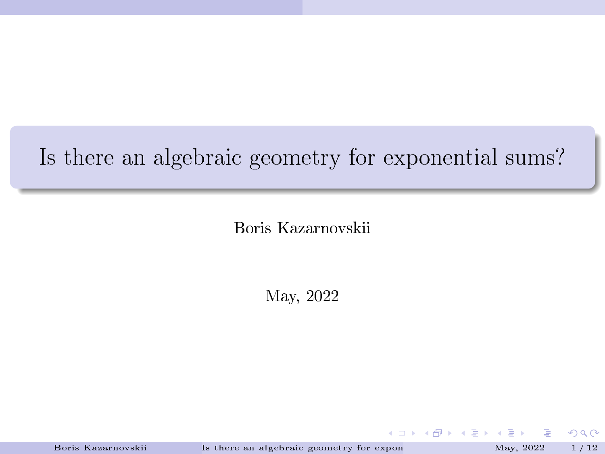## <span id="page-0-0"></span>Is there an algebraic geometry for exponential sums?

Boris Kazarnovskii

May, 2022

Boris Kazarnovskii Is there an algebraic geometry for exponential sums. May, 2022 1/12

 $2Q$ 

**KORK 4 FR 4 DIX 4**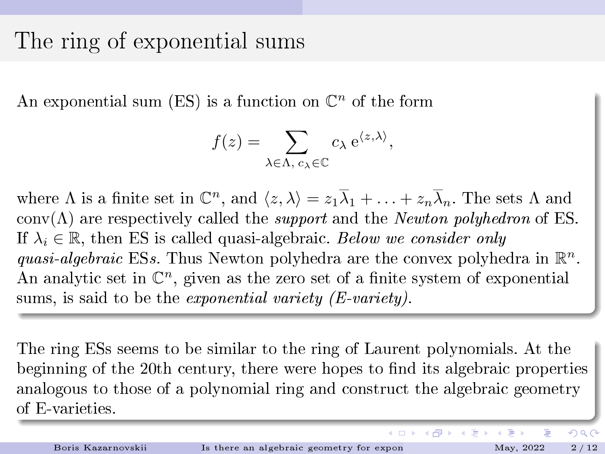### The ring of exponential sums

An exponential sum (ES) is a function on  $\mathbb{C}^n$  of the form

$$
f(z) = \sum_{\lambda \in \Lambda, c_{\lambda} \in \mathbb{C}} c_{\lambda} e^{\langle z, \lambda \rangle},
$$

where  $\Lambda$  is a finite set in  $\mathbb{C}^n$ , and  $\langle z, \lambda \rangle = z_1 \overline{\lambda}_1 + \ldots + z_n \overline{\lambda}_n$ . The sets  $\Lambda$  and  $conv(\Lambda)$  are respectively called the *support* and the *Newton polyhedron* of ES. If  $\lambda_i \in \mathbb{R}$ , then ES is called quasi-algebraic. Below we consider only quasi-algebraic ESs. Thus Newton polyhedra are the convex polyhedra in  $\mathbb{R}^n$ . An analytic set in  $\mathbb{C}^n$ , given as the zero set of a finite system of exponential sums, is said to be the *exponential variety (E-variety)*.

The ring ESs seems to be similar to the ring of Laurent polynomials. At the beginning of the 20th century, there were hopes to find its algebraic properties analogous to those of a polynomial ring and construct the algebraic geometry of E-varieties.

 $\Omega$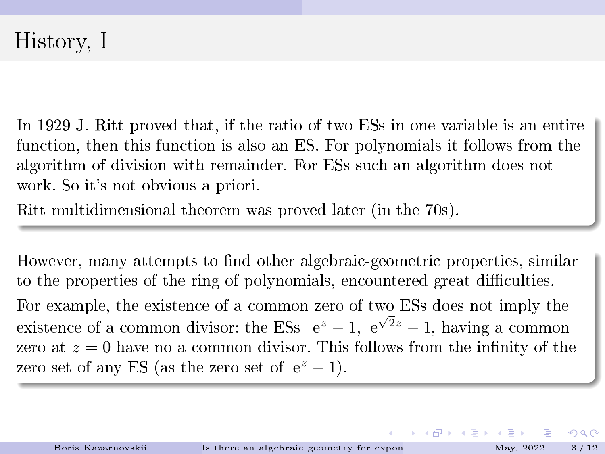In 1929 J. Ritt proved that, if the ratio of two ESs in one variable is an entire function, then this function is also an ES. For polynomials it follows from the algorithm of division with remainder. For ESs such an algorithm does not work. So it's not obvious a priori.

Ritt multidimensional theorem was proved later (in the 70s).

However, many attempts to find other algebraic-geometric properties, similar to the properties of the ring of polynomials, encountered great difficulties. For example, the existence of a common zero of two ESs does not imply the existence of a common divisor: the ESs  $e^z - 1$ ,  $e^{\sqrt{2}z} - 1$ , having a common zero at  $z = 0$  have no a common divisor. This follows from the infinity of the zero set of any ES (as the zero set of  $e^z - 1$ ).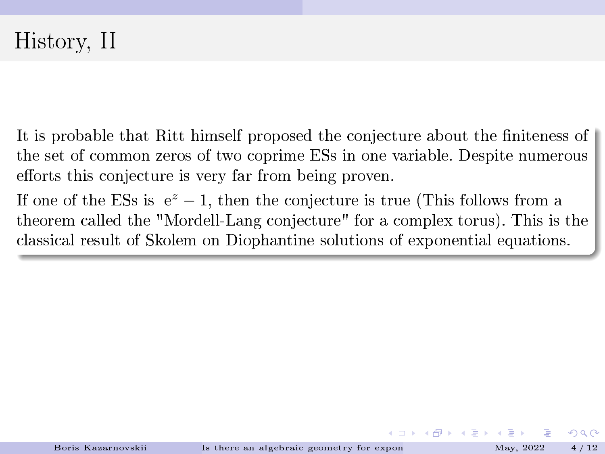It is probable that Ritt himself proposed the conjecture about the finiteness of the set of common zeros of two coprime ESs in one variable. Despite numerous efforts this conjecture is very far from being proven.

If one of the ESs is  $e^z - 1$ , then the conjecture is true (This follows from a theorem called the "Mordell-Lang conjecture" for a complex torus). This is the classical result of Skolem on Diophantine solutions of exponential equations.

**K ロ ト K 伺 ト K ヨ ト K**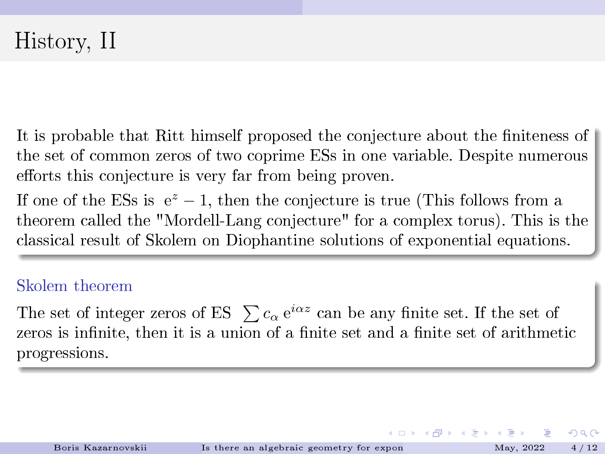<span id="page-4-0"></span>It is probable that Ritt himself proposed the conjecture about the finiteness of the set of common zeros of two coprime ESs in one variable. Despite numerous efforts this conjecture is very far from being proven.

If one of the ESs is  $e^z - 1$ , then the conjecture is true (This follows from a theorem called the "Mordell-Lang conjecture" for a complex torus). This is the classical result of Skolem on Diophantine solutions of exponential equations.

#### Skolem theorem

The set of integer zeros of ES  $\sum c_{\alpha} e^{i\alpha z}$  can be any finite set. If the set of zeros is infinite, then it is a union of a finite set and a finite set of arithmetic progressions.

イロト イ御 トメ ミト メモ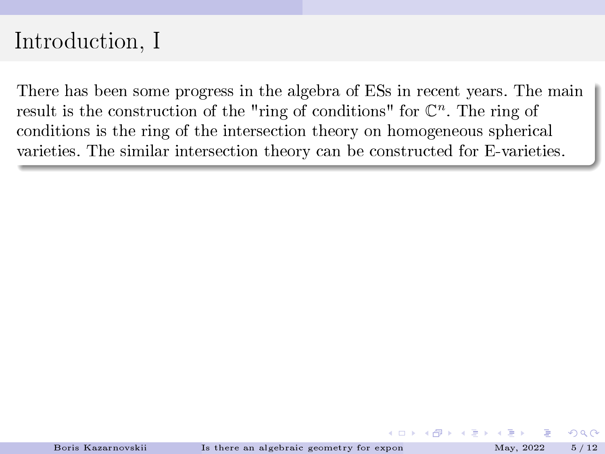## <span id="page-5-0"></span>Introduction, I

There has been some progress in the algebra of ESs in recent years. The main result is the construction of the "ring of conditions" for  $\mathbb{C}^n$ . The ring of conditions is the ring of the intersection theory on homogeneous spherical varieties. The similar intersection theory can be constructed for E-varieties.

**K ロ ト K 何 ト K ヨ ト K**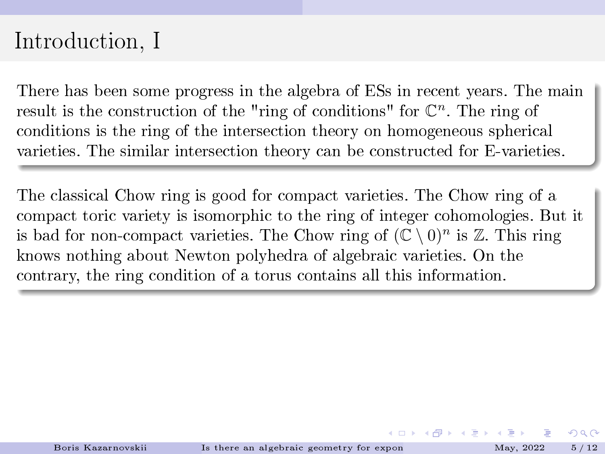## <span id="page-6-0"></span>Introduction, I

There has been some progress in the algebra of ESs in recent years. The main result is the construction of the "ring of conditions" for  $\mathbb{C}^n$ . The ring of conditions is the ring of the intersection theory on homogeneous spherical varieties. The similar intersection theory can be constructed for E-varieties.

The classical Chow ring is good for compact varieties. The Chow ring of a compact toric variety is isomorphic to the ring of integer cohomologies. But it is bad for non-compact varieties. The Chow ring of  $(\mathbb{C} \setminus 0)^n$  is  $\mathbb{Z}$ . This ring knows nothing about Newton polyhedra of algebraic varieties. On the contrary, the ring condition of a torus contains all this information.

**K ロ ト K 伺 ト K ヨ ト K**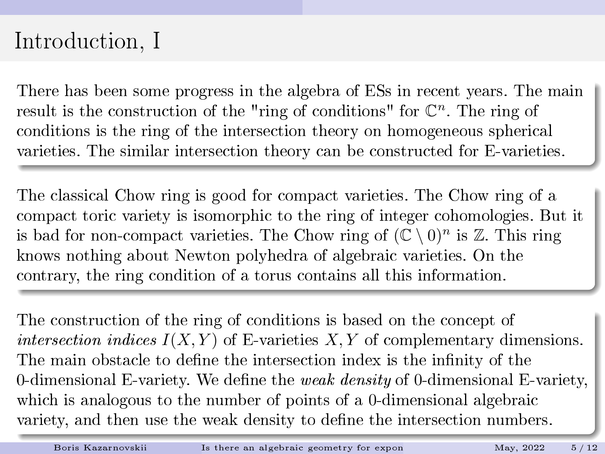## <span id="page-7-0"></span>Introduction, I

There has been some progress in the algebra of ESs in recent years. The main result is the construction of the "ring of conditions" for  $\mathbb{C}^n$ . The ring of conditions is the ring of the intersection theory on homogeneous spherical varieties. The similar intersection theory can be constructed for E-varieties.

The classical Chow ring is good for compact varieties. The Chow ring of a compact toric variety is isomorphic to the ring of integer cohomologies. But it is bad for non-compact varieties. The Chow ring of  $(\mathbb{C} \setminus 0)^n$  is  $\mathbb{Z}$ . This ring knows nothing about Newton polyhedra of algebraic varieties. On the contrary, the ring condition of a torus contains all this information.

The construction of the ring of conditions is based on the concept of intersection indices  $I(X, Y)$  of E-varieties  $X, Y$  of complementary dimensions. The main obstacle to define the intersection index is the infinity of the 0-dimensional E-variety. We define the *weak density* of 0-dimensional E-variety, which is analogous to the number of points of a 0-dimensional algebraic variety, and then use the weak density to dene t[he](#page-6-0) i[nt](#page-8-0)[er](#page-4-0)[s](#page-5-0)[e](#page-7-0)[ct](#page-8-0)[io](#page-0-0)[n n](#page-18-0)[u](#page-0-0)[mb](#page-18-0)[ers](#page-0-0)[.](#page-18-0)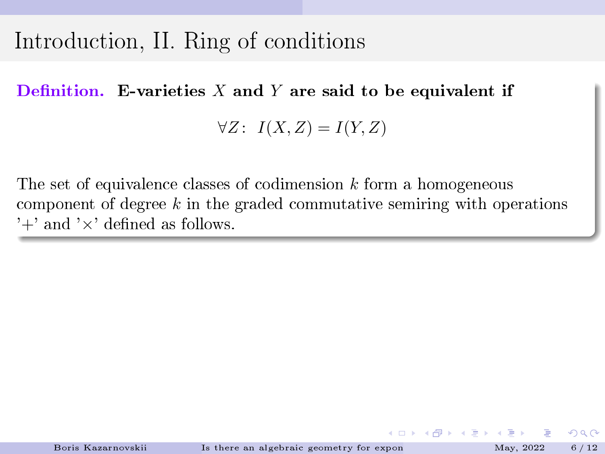## <span id="page-8-0"></span>Introduction, II. Ring of conditions

Definition. E-varieties  $X$  and  $Y$  are said to be equivalent if

 $\forall Z$ :  $I(X, Z) = I(Y, Z)$ 

The set of equivalence classes of codimension  $k$  form a homogeneous component of degree  $k$  in the graded commutative semiring with operations  $'+'$  and  $'\times'$  defined as follows.

 $\Omega$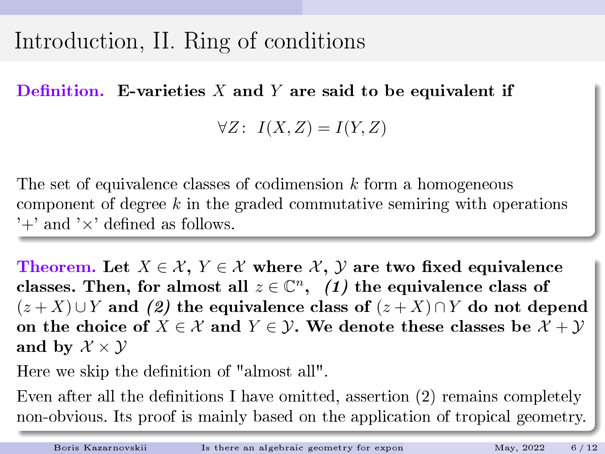## Introduction, II. Ring of conditions

Definition. E-varieties  $X$  and  $Y$  are said to be equivalent if

 $\forall Z$ :  $I(X, Z) = I(Y, Z)$ 

The set of equivalence classes of codimension  $k$  form a homogeneous component of degree  $k$  in the graded commutative semiring with operations ' $+$ ' and ' $\times$ ' defined as follows.

Theorem. Let  $X \in \mathcal{X}$ ,  $Y \in \mathcal{X}$  where  $\mathcal{X}$ ,  $\mathcal{Y}$  are two fixed equivalence classes. Then, for almost all  $z \in \mathbb{C}^n$ , (1) the equivalence class of  $(z+X) \cup Y$  and (2) the equivalence class of  $(z+X) \cap Y$  do not depend on the choice of  $X \in \mathcal{X}$  and  $Y \in \mathcal{Y}$ . We denote these classes be  $\mathcal{X} + \mathcal{Y}$ and by  $\mathcal{X} \times \mathcal{Y}$ 

Here we skip the definition of "almost all".

Even after all the definitions I have omitted, assertion  $(2)$  remains completely non-obvious. Its proof is mainly based on the application of tropical geometry.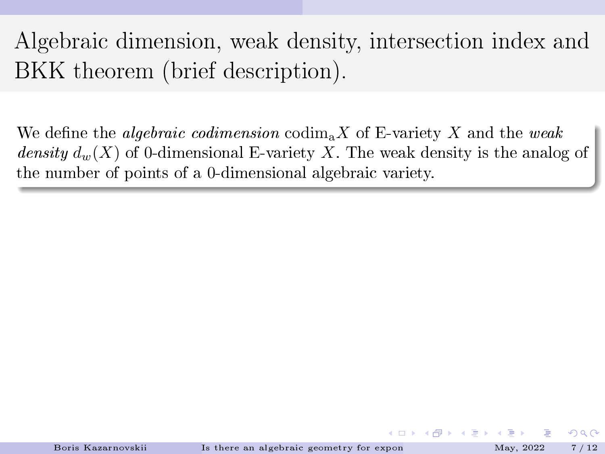# Algebraic dimension, weak density, intersection index and BKK theorem (brief description).

We define the *algebraic codimension* codim<sub>a</sub>X of E-variety X and the weak density  $d_w(X)$  of 0-dimensional E-variety X. The weak density is the analog of the number of points of a 0-dimensional algebraic variety.

**K ロ ト K 何 ト K ヨ ト K**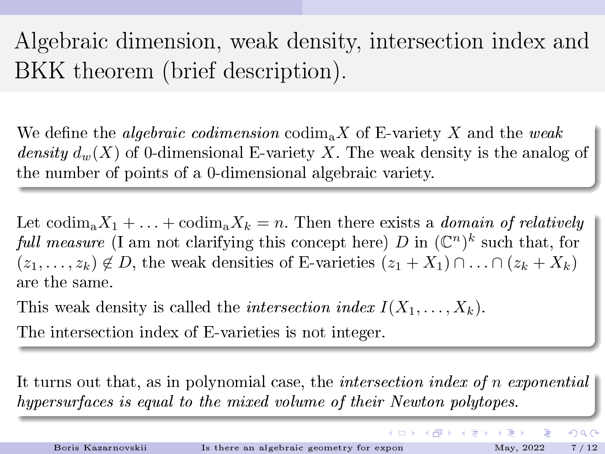# Algebraic dimension, weak density, intersection index and BKK theorem (brief description).

We define the *algebraic codimension* codim<sub>a</sub>X of E-variety X and the weak density  $d_w(X)$  of 0-dimensional E-variety X. The weak density is the analog of the number of points of a 0-dimensional algebraic variety.

Let codim<sub>a</sub> $X_1 + \ldots + \text{codim}_n X_k = n$ . Then there exists a *domain of relatively* full measure (I am not clarifying this concept here) D in  $(\mathbb{C}^n)^k$  such that, for  $(z_1, \ldots, z_k) \notin D$ , the weak densities of E-varieties  $(z_1 + X_1) \cap \ldots \cap (z_k + X_k)$ are the same.

This weak density is called the *intersection index*  $I(X_1, \ldots, X_k)$ .

The intersection index of E-varieties is not integer.

It turns out that, as in polynomial case, the intersection index of n exponential hypersurfaces is equal to the mixed volume of their Newton polytopes.

 $\Omega$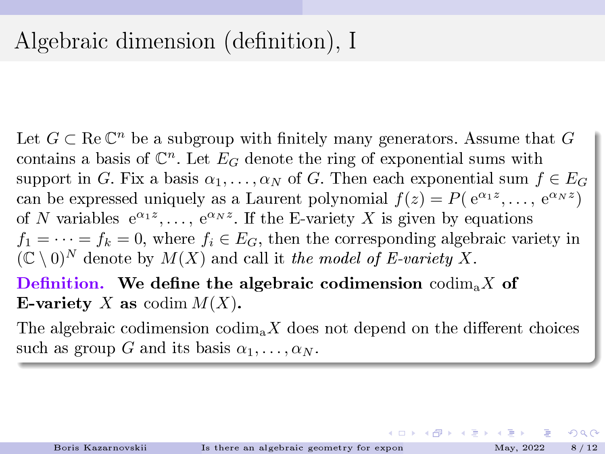Let  $G \subset \text{Re } \mathbb{C}^n$  be a subgroup with finitely many generators. Assume that  $G$ contains a basis of  $\mathbb{C}^n$ . Let  $E_G$  denote the ring of exponential sums with support in G. Fix a basis  $\alpha_1, \ldots, \alpha_N$  of G. Then each exponential sum  $f \in E_G$ can be expressed uniquely as a Laurent polynomial  $f(z) = P(e^{\alpha_1 z}, \dots, e^{\alpha_N z})$ of N variables  $e^{\alpha_1 z}, \ldots, e^{\alpha_N z}$ . If the E-variety X is given by equations  $f_1 = \cdots = f_k = 0$ , where  $f_i \in E_G$ , then the corresponding algebraic variety in  $(C \setminus 0)^N$  denote by  $M(X)$  and call it the model of E-variety X.

Definition. We define the algebraic codimension  $\mathrm{codim}_{a} X$  of E-variety X as codim  $M(X)$ .

The algebraic codimension codim<sub>a</sub>X does not depend on the different choices such as group G and its basis  $\alpha_1, \ldots, \alpha_N$ .

←ロト (御) (き) (き)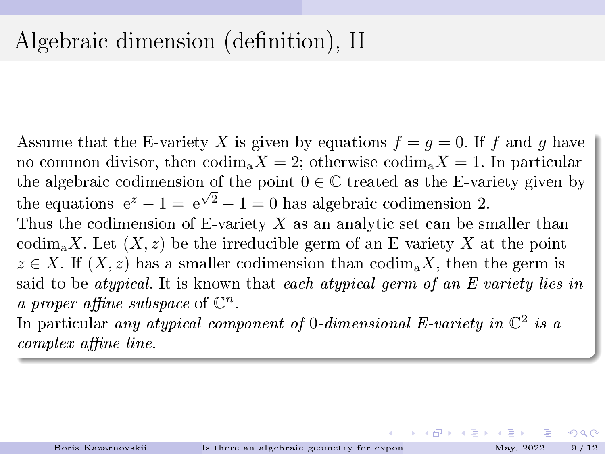## <span id="page-13-0"></span>Algebraic dimension (definition), II

Assume that the E-variety X is given by equations  $f = q = 0$ . If f and q have no common divisor, then  $\text{codim}_a X = 2$ ; otherwise  $\text{codim}_a X = 1$ . In particular the algebraic codimension of the point  $0 \in \mathbb{C}$  treated as the E-variety given by the equations  $e^z - 1 = e^{\sqrt{2}} - 1 = 0$  has algebraic codimension 2. Thus the codimension of E-variety  $X$  as an analytic set can be smaller than codim<sub>a</sub>X. Let  $(X, z)$  be the irreducible germ of an E-variety X at the point  $z \in X$ . If  $(X, z)$  has a smaller codimension than  $\text{codim}_n X$ , then the germ is said to be *atypical*. It is known that each *atypical germ of an E-variety lies in* a proper affine subspace of  $\mathbb{C}^n$ .

In particular any atypical component of 0-dimensional E-variety in  $\mathbb{C}^2$  is a complex affine line.

←ロト (御) (き) (き)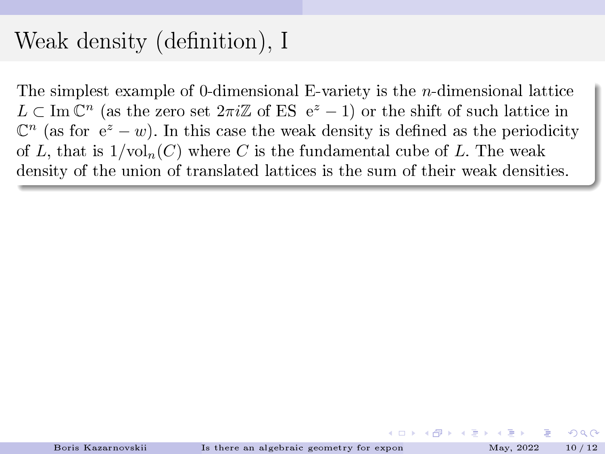## <span id="page-14-0"></span>Weak density (definition), I

The simplest example of 0-dimensional E-variety is the n-dimensional lattice  $L \subset \text{Im } \mathbb{C}^n$  (as the zero set  $2\pi i \mathbb{Z}$  of ES e<sup>z</sup> - 1) or the shift of such lattice in  $\mathbb{C}^n$  (as for  $e^z - w$ ). In this case the weak density is defined as the periodicity of L, that is  $1/\text{vol}_n(C)$  where C is the fundamental cube of L. The weak density of the union of translated lattices is the sum of their weak densities.

イロト イ押ト イヨト イヨト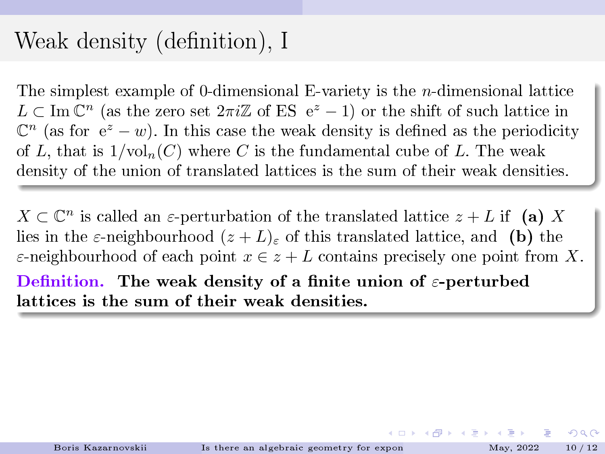## <span id="page-15-0"></span>Weak density (definition), I

The simplest example of 0-dimensional E-variety is the n-dimensional lattice  $L \subset \text{Im } \mathbb{C}^n$  (as the zero set  $2\pi i \mathbb{Z}$  of ES e<sup>z</sup> - 1) or the shift of such lattice in  $\mathbb{C}^n$  (as for  $e^z - w$ ). In this case the weak density is defined as the periodicity of L, that is  $1/\text{vol}_n(C)$  where C is the fundamental cube of L. The weak density of the union of translated lattices is the sum of their weak densities.

 $X \subset \mathbb{C}^n$  is called an  $\varepsilon$ -perturbation of the translated lattice  $z + L$  if (a) X lies in the  $\varepsilon$ -neighbourhood  $(z+L)_{\varepsilon}$  of this translated lattice, and (b) the  $\varepsilon$ -neighbourhood of each point  $x \in z + L$  contains precisely one point from X. Definition. The weak density of a finite union of  $\varepsilon$ -perturbed lattices is the sum of their weak densities.

 $\Omega$ 

K ロ ▶ K 御 ▶ K 君 ▶ K 君 ▶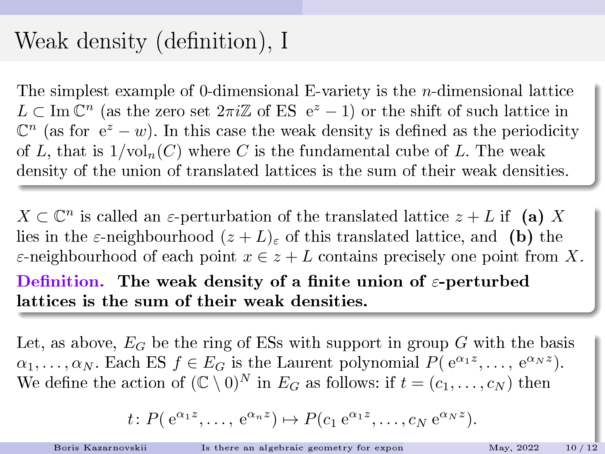## <span id="page-16-0"></span>Weak density (definition), I

The simplest example of 0-dimensional E-variety is the n-dimensional lattice  $L \subset \text{Im } \mathbb{C}^n$  (as the zero set  $2\pi i \mathbb{Z}$  of ES e<sup>z</sup> - 1) or the shift of such lattice in  $\mathbb{C}^n$  (as for  $e^z - w$ ). In this case the weak density is defined as the periodicity of L, that is  $1/\text{vol}_n(C)$  where C is the fundamental cube of L. The weak density of the union of translated lattices is the sum of their weak densities.

 $X \subset \mathbb{C}^n$  is called an  $\varepsilon$ -perturbation of the translated lattice  $z + L$  if (a) X lies in the  $\varepsilon$ -neighbourhood  $(z + L)_{\varepsilon}$  of this translated lattice, and (b) the  $\varepsilon$ -neighbourhood of each point  $x \in z + L$  contains precisely one point from X. Definition. The weak density of a finite union of  $\varepsilon$ -perturbed lattices is the sum of their weak densities.

Let, as above,  $E_G$  be the ring of ESs with support in group G with the basis  $\alpha_1, \ldots, \alpha_N$ . Each ES  $f \in E_G$  is the Laurent polynomial  $P(e^{\alpha_1 z}, \ldots, e^{\alpha_N z})$ . We define the action of  $(\mathbb{C} \setminus 0)^N$  in  $E_G$  as follows: if  $t = (c_1, \ldots, c_N)$  then

$$
t\colon P(\,\mathrm{e}^{\alpha_1 z},\ldots,\,\mathrm{e}^{\alpha_n z})\mapsto P(c_1\,\mathrm{e}^{\alpha_1 z},\ldots,c_N\,\mathrm{e}^{\alpha_N z}).
$$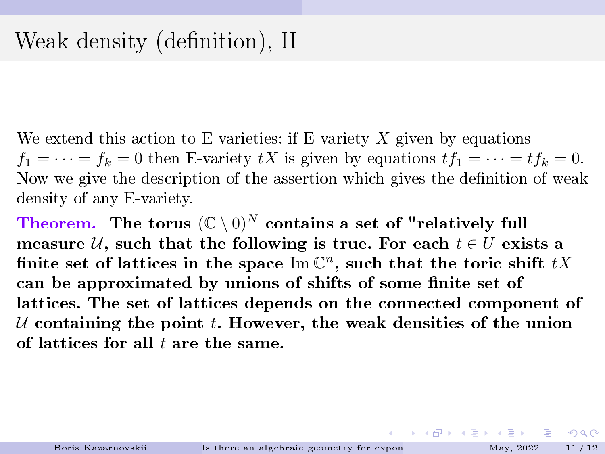<span id="page-17-0"></span>We extend this action to E-varieties: if E-variety  $X$  given by equations  $f_1 = \cdots = f_k = 0$  then E-variety tX is given by equations  $tf_1 = \cdots = tf_k = 0$ . Now we give the description of the assertion which gives the denition of weak density of any E-variety.

Theorem. The torus  $(\mathbb{C} \setminus 0)^N$  contains a set of "relatively full measure U, such that the following is true. For each  $t \in U$  exists a finite set of lattices in the space  $\text{Im }\mathbb{C}^n$ , such that the toric shift  $tX$ can be approximated by unions of shifts of some finite set of lattices. The set of lattices depends on the connected component of U containing the point t. However, the weak densities of the union of lattices for all  $t$  are the same.

**イロト イ団 ト イヨ ト イヨ ト ニヨ**